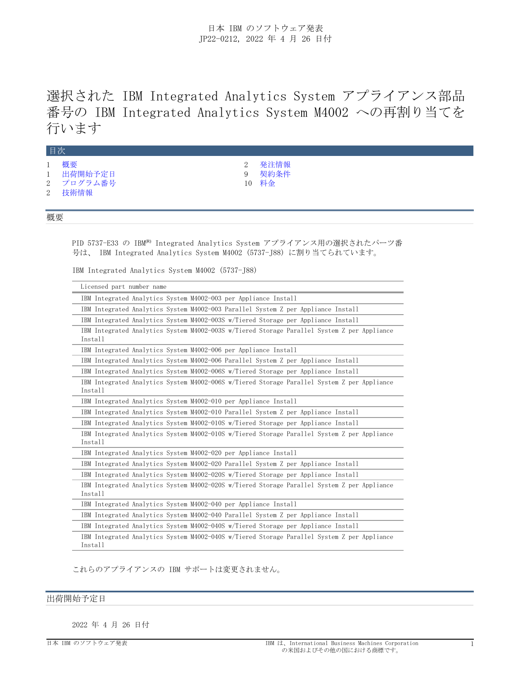選択された IBM Integrated Analytics System アプライアンス部品 番号の IBM Integrated Analytics System M4002 への再割り当てを 行います

|              | 目次                                     |          |                       |
|--------------|----------------------------------------|----------|-----------------------|
| $\mathbf{1}$ | 概要<br>1 出荷開始予定日<br>2 プログラム番号<br>2 技術情報 | $\Omega$ | 発注情報<br>契約条件<br>10 料金 |

# <span id="page-0-0"></span>概要

PID 5737-E33 の IBM<sup>(R)</sup> Integrated Analytics System アプライアンス用の選択されたパーツ番 号は、 IBM Integrated Analytics System M4002(5737-J88)に割り当てられています。

IBM Integrated Analytics System M4002 (5737-J88)

| Licensed part number name                                                                              |
|--------------------------------------------------------------------------------------------------------|
| IBM Integrated Analytics System M4002-003 per Appliance Install                                        |
| IBM Integrated Analytics System M4002-003 Parallel System Z per Appliance Install                      |
| IBM Integrated Analytics System M4002-003S w/Tiered Storage per Appliance Install                      |
| IBM Integrated Analytics System M4002-003S w/Tiered Storage Parallel System Z per Appliance<br>Install |
| IBM Integrated Analytics System M4002-006 per Appliance Install                                        |
| IBM Integrated Analytics System M4002-006 Parallel System Z per Appliance Install                      |
| IBM Integrated Analytics System M4002-006S w/Tiered Storage per Appliance Install                      |
| IBM Integrated Analytics System M4002-006S w/Tiered Storage Parallel System Z per Appliance<br>Install |
| IBM Integrated Analytics System M4002-010 per Appliance Install                                        |
| IBM Integrated Analytics System M4002-010 Parallel System Z per Appliance Install                      |
| IBM Integrated Analytics System M4002-010S w/Tiered Storage per Appliance Install                      |
| IBM Integrated Analytics System M4002-010S w/Tiered Storage Parallel System Z per Appliance<br>Install |
| IBM Integrated Analytics System M4002-020 per Appliance Install                                        |
| IBM Integrated Analytics System M4002-020 Parallel System Z per Appliance Install                      |
| IBM Integrated Analytics System M4002-020S w/Tiered Storage per Appliance Install                      |
| IBM Integrated Analytics System M4002-020S w/Tiered Storage Parallel System Z per Appliance<br>Install |
| IBM Integrated Analytics System M4002-040 per Appliance Install                                        |
| IBM Integrated Analytics System M4002-040 Parallel System Z per Appliance Install                      |
| IBM Integrated Analytics System M4002-040S w/Tiered Storage per Appliance Install                      |
| IBM Integrated Analytics System M4002-040S w/Tiered Storage Parallel System Z per Appliance<br>Install |

これらのアプライアンスの IBM サポートは変更されません。

# <span id="page-0-1"></span>出荷開始予定日

2022 年 4 月 26 日付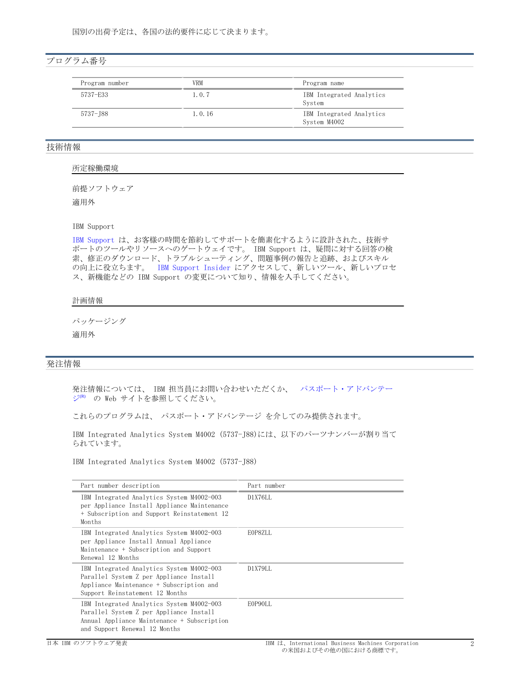# <span id="page-1-1"></span>プログラム番号

| Program number | VRM      | Program name                             |
|----------------|----------|------------------------------------------|
| 5737-E33       | 1.0.7    | IBM Integrated Analytics<br>System       |
| 5737–188       | 1, 0, 16 | IBM Integrated Analytics<br>System M4002 |

# <span id="page-1-2"></span>技術情報

#### 所定稼働環境

前提ソフトウェア

適用外

## IBM-Support

IBM-[Support-](https://www.ibm.com/support)は、お客様の時間を節約してサポートを簡素化するように設計された、技術サ ポートのツールやリソースへのゲートウェイです。 IBM Support は、疑問に対する回答の検 索、修正のダウンロード、トラブルシューティング、問題事例の報告と追跡、およびスキル の向上に役立ちます。 IBM Support Insider にアクセスして、新しいツール、新しいプロセ ス、新機能などの IBM Support の変更について知り、情報を入手してください。

# 計画情報

パッケージング

適用外

# <span id="page-1-0"></span>発注情報

発注情報については、 IBM 担当員にお問い合わせいただくか、 [パスポート・アドバンテー](https://www.ibm.com/software/passportadvantage/) [ジ](https://www.ibm.com/software/passportadvantage/)<sup>(R)</sup> の Web サイトを参照してください。

これらのプログラムは、 パスポート・アドバンテージ を介してのみ提供されます。

IBM Integrated Analytics System M4002 (5737-J88)には、以下のパーツナンバーが割り当て られています。

IBM Integrated Analytics System M4002 (5737-J88)

| Part number description                                                                                                                                              | Part number |
|----------------------------------------------------------------------------------------------------------------------------------------------------------------------|-------------|
| IBM Integrated Analytics System M4002-003<br>per Appliance Install Appliance Maintenance<br>+ Subscription and Support Reinstatement 12<br>Months                    | D1X76LL     |
| IBM Integrated Analytics System M4002-003<br>per Appliance Install Annual Appliance<br>Maintenance + Subscription and Support<br>Renewal 12 Months                   | EOP8ZLL     |
| IBM Integrated Analytics System M4002-003<br>Parallel System Z per Appliance Install<br>Appliance Maintenance + Subscription and<br>Support Reinstatement 12 Months  | D1X79LL     |
| IBM Integrated Analytics System M4002-003<br>Parallel System Z per Appliance Install<br>Annual Appliance Maintenance + Subscription<br>and Support Renewal 12 Months | E0P90LL     |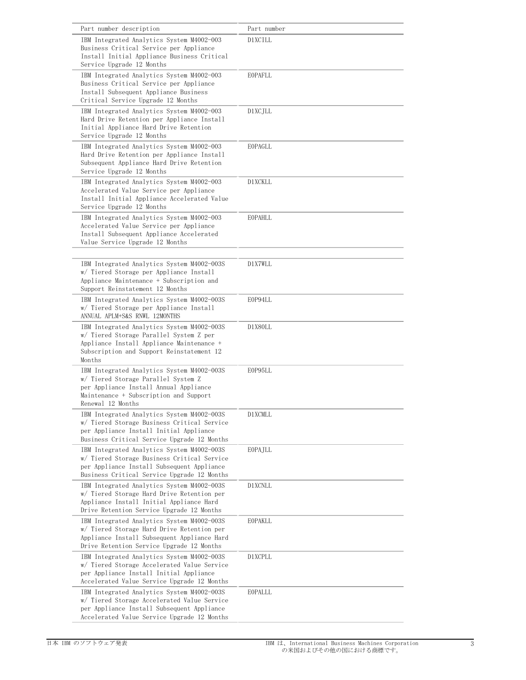| Part number description                                                                                                                                                                    | Part number |
|--------------------------------------------------------------------------------------------------------------------------------------------------------------------------------------------|-------------|
| IBM Integrated Analytics System M4002-003<br>Business Critical Service per Appliance<br>Install Initial Appliance Business Critical<br>Service Upgrade 12 Months                           | D1XCILL     |
| IBM Integrated Analytics System M4002-003<br>Business Critical Service per Appliance<br>Install Subsequent Appliance Business<br>Critical Service Upgrade 12 Months                        | EOPAFLL     |
| IBM Integrated Analytics System M4002-003<br>Hard Drive Retention per Appliance Install<br>Initial Appliance Hard Drive Retention<br>Service Upgrade 12 Months                             | D1XCJLL     |
| IBM Integrated Analytics System M4002-003<br>Hard Drive Retention per Appliance Install<br>Subsequent Appliance Hard Drive Retention<br>Service Upgrade 12 Months                          | EOPAGLL     |
| IBM Integrated Analytics System M4002-003<br>Accelerated Value Service per Appliance<br>Install Initial Appliance Accelerated Value<br>Service Upgrade 12 Months                           | D1XCKLL     |
| IBM Integrated Analytics System M4002-003<br>Accelerated Value Service per Appliance<br>Install Subsequent Appliance Accelerated<br>Value Service Upgrade 12 Months                        | EOPAHLL     |
| IBM Integrated Analytics System M4002-003S<br>w/ Tiered Storage per Appliance Install<br>Appliance Maintenance + Subscription and<br>Support Reinstatement 12 Months                       | D1X7WLL     |
| IBM Integrated Analytics System M4002-003S<br>w/ Tiered Storage per Appliance Install<br>ANNUAL APLM+S&S RNWL 12MONTHS                                                                     | E0P94LL     |
| IBM Integrated Analytics System M4002-003S<br>w/ Tiered Storage Parallel System Z per<br>Appliance Install Appliance Maintenance +<br>Subscription and Support Reinstatement 12<br>Months  | D1X80LL     |
| IBM Integrated Analytics System M4002-003S<br>w/ Tiered Storage Parallel System Z<br>per Appliance Install Annual Appliance<br>Maintenance + Subscription and Support<br>Renewal 12 Months | E0P95LL     |
| IBM Integrated Analytics System M4002-003S<br>w/ Tiered Storage Business Critical Service<br>per Appliance Install Initial Appliance<br>Business Critical Service Upgrade 12 Months        | D1XCMLL     |
| IBM Integrated Analytics System M4002-003S<br>w/ Tiered Storage Business Critical Service<br>per Appliance Install Subsequent Appliance<br>Business Critical Service Upgrade 12 Months     | EOPAJLL     |
| IBM Integrated Analytics System M4002-003S<br>w/ Tiered Storage Hard Drive Retention per<br>Appliance Install Initial Appliance Hard<br>Drive Retention Service Upgrade 12 Months          | D1XCNLL     |
| IBM Integrated Analytics System M4002-003S<br>w/ Tiered Storage Hard Drive Retention per<br>Appliance Install Subsequent Appliance Hard<br>Drive Retention Service Upgrade 12 Months       | EOPAKLL     |
| IBM Integrated Analytics System M4002-003S<br>w/ Tiered Storage Accelerated Value Service<br>per Appliance Install Initial Appliance<br>Accelerated Value Service Upgrade 12 Months        | D1XCPLL     |
| IBM Integrated Analytics System M4002-003S<br>w/ Tiered Storage Accelerated Value Service<br>per Appliance Install Subsequent Appliance<br>Accelerated Value Service Upgrade 12 Months     | EOPALLL     |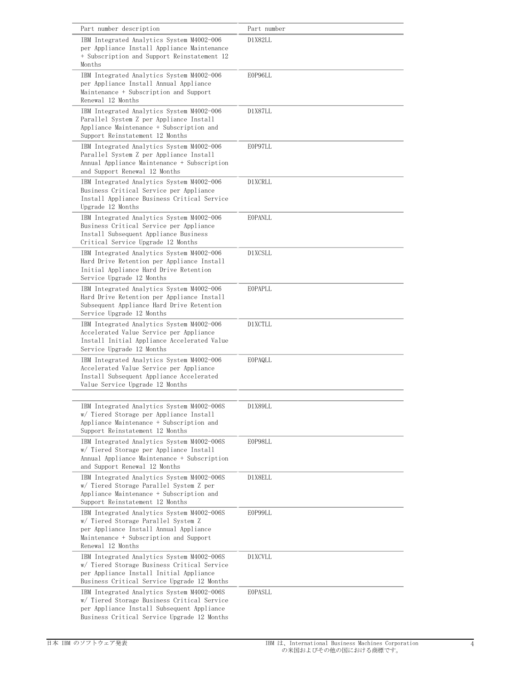| Part number description                                                                                                                                                                    | Part number |
|--------------------------------------------------------------------------------------------------------------------------------------------------------------------------------------------|-------------|
| IBM Integrated Analytics System M4002-006                                                                                                                                                  | D1X82LL     |
| per Appliance Install Appliance Maintenance                                                                                                                                                |             |
| + Subscription and Support Reinstatement 12<br>Months                                                                                                                                      |             |
| IBM Integrated Analytics System M4002-006<br>per Appliance Install Annual Appliance<br>Maintenance + Subscription and Support<br>Renewal 12 Months                                         | E0P96LL     |
| IBM Integrated Analytics System M4002-006<br>Parallel System Z per Appliance Install<br>Appliance Maintenance + Subscription and<br>Support Reinstatement 12 Months                        | D1X87LL     |
| IBM Integrated Analytics System M4002-006<br>Parallel System Z per Appliance Install<br>Annual Appliance Maintenance + Subscription<br>and Support Renewal 12 Months                       | E0P97LL     |
| IBM Integrated Analytics System M4002-006<br>Business Critical Service per Appliance<br>Install Appliance Business Critical Service<br>Upgrade 12 Months                                   | D1XCRLL     |
| IBM Integrated Analytics System M4002-006<br>Business Critical Service per Appliance<br>Install Subsequent Appliance Business<br>Critical Service Upgrade 12 Months                        | EOPANLL     |
| IBM Integrated Analytics System M4002-006<br>Hard Drive Retention per Appliance Install<br>Initial Appliance Hard Drive Retention<br>Service Upgrade 12 Months                             | D1XCSLL     |
| IBM Integrated Analytics System M4002-006<br>Hard Drive Retention per Appliance Install<br>Subsequent Appliance Hard Drive Retention<br>Service Upgrade 12 Months                          | EOPAPLL     |
| IBM Integrated Analytics System M4002-006<br>Accelerated Value Service per Appliance<br>Install Initial Appliance Accelerated Value<br>Service Upgrade 12 Months                           | D1XCTLL     |
| IBM Integrated Analytics System M4002-006<br>Accelerated Value Service per Appliance<br>Install Subsequent Appliance Accelerated<br>Value Service Upgrade 12 Months                        | EOPAQLL     |
|                                                                                                                                                                                            |             |
| IBM Integrated Analytics System M4002-006S<br>w/ Tiered Storage per Appliance Install<br>Appliance Maintenance + Subscription and<br>Support Reinstatement 12 Months                       | D1X89LL     |
| IBM Integrated Analytics System M4002-006S<br>w/ Tiered Storage per Appliance Install<br>Annual Appliance Maintenance + Subscription<br>and Support Renewal 12 Months                      | E0P98LL     |
| IBM Integrated Analytics System M4002-006S<br>w/ Tiered Storage Parallel System Z per<br>Appliance Maintenance + Subscription and<br>Support Reinstatement 12 Months                       | D1X8ELL     |
| IBM Integrated Analytics System M4002-006S<br>w/ Tiered Storage Parallel System Z<br>per Appliance Install Annual Appliance<br>Maintenance + Subscription and Support<br>Renewal 12 Months | E0P99LL     |
| IBM Integrated Analytics System M4002-006S<br>w/ Tiered Storage Business Critical Service<br>per Appliance Install Initial Appliance<br>Business Critical Service Upgrade 12 Months        | D1XCVLL     |
| IBM Integrated Analytics System M4002-006S<br>w/ Tiered Storage Business Critical Service<br>per Appliance Install Subsequent Appliance<br>Business Critical Service Upgrade 12 Months     | EOPASLL     |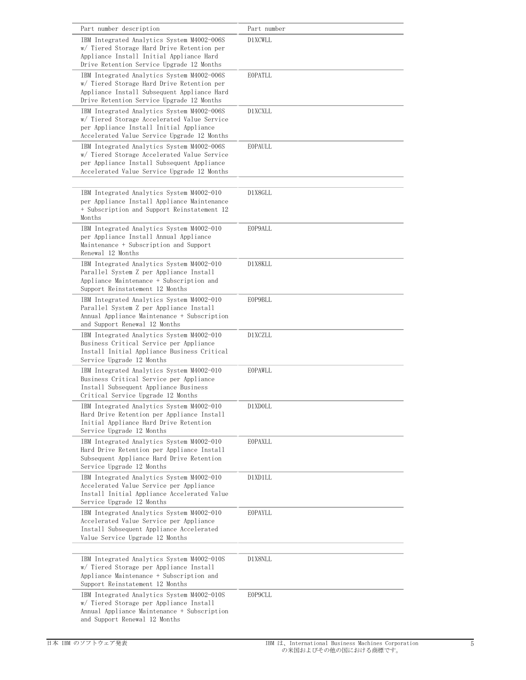| Part number description                                                                                                                                                                | Part number    |
|----------------------------------------------------------------------------------------------------------------------------------------------------------------------------------------|----------------|
| IBM Integrated Analytics System M4002-006S<br>w/ Tiered Storage Hard Drive Retention per<br>Appliance Install Initial Appliance Hard<br>Drive Retention Service Upgrade 12 Months      | D1XCWLL        |
| IBM Integrated Analytics System M4002-006S<br>w/ Tiered Storage Hard Drive Retention per<br>Appliance Install Subsequent Appliance Hard<br>Drive Retention Service Upgrade 12 Months   | EOPATLL        |
| IBM Integrated Analytics System M4002-006S<br>w/ Tiered Storage Accelerated Value Service<br>per Appliance Install Initial Appliance<br>Accelerated Value Service Upgrade 12 Months    | D1XCXLL        |
| IBM Integrated Analytics System M4002-006S<br>w/ Tiered Storage Accelerated Value Service<br>per Appliance Install Subsequent Appliance<br>Accelerated Value Service Upgrade 12 Months | EOPAULL        |
| IBM Integrated Analytics System M4002-010<br>per Appliance Install Appliance Maintenance<br>+ Subscription and Support Reinstatement 12<br>Months                                      | D1X8GLL        |
| IBM Integrated Analytics System M4002-010<br>per Appliance Install Annual Appliance<br>Maintenance + Subscription and Support<br>Renewal 12 Months                                     | E0P9ALL        |
| IBM Integrated Analytics System M4002-010<br>Parallel System Z per Appliance Install<br>Appliance Maintenance + Subscription and<br>Support Reinstatement 12 Months                    | D1X8KLL        |
| IBM Integrated Analytics System M4002-010<br>Parallel System Z per Appliance Install<br>Annual Appliance Maintenance + Subscription<br>and Support Renewal 12 Months                   | E0P9BLL        |
| IBM Integrated Analytics System M4002-010<br>Business Critical Service per Appliance<br>Install Initial Appliance Business Critical<br>Service Upgrade 12 Months                       | D1XCZLL        |
| IBM Integrated Analytics System M4002-010<br>Business Critical Service per Appliance<br>Install Subsequent Appliance Business<br>Critical Service Upgrade 12 Months                    | EOPAWLL        |
| IBM Integrated Analytics System M4002-010<br>Hard Drive Retention per Appliance Install<br>Initial Appliance Hard Drive Retention<br>Service Upgrade 12 Months                         | D1XDOLL        |
| IBM Integrated Analytics System M4002-010<br>Hard Drive Retention per Appliance Install<br>Subsequent Appliance Hard Drive Retention<br>Service Upgrade 12 Months                      | EOPAXLL        |
| IBM Integrated Analytics System M4002-010<br>Accelerated Value Service per Appliance<br>Install Initial Appliance Accelerated Value<br>Service Upgrade 12 Months                       | D1XD1LL        |
| IBM Integrated Analytics System M4002-010<br>Accelerated Value Service per Appliance<br>Install Subsequent Appliance Accelerated<br>Value Service Upgrade 12 Months                    | <b>EOPAYLL</b> |
| IBM Integrated Analytics System M4002-010S<br>w/ Tiered Storage per Appliance Install<br>Appliance Maintenance + Subscription and<br>Support Reinstatement 12 Months                   | D1X8NLL        |
| IBM Integrated Analytics System M4002-010S<br>w/ Tiered Storage per Appliance Install<br>Annual Appliance Maintenance + Subscription<br>and Support Renewal 12 Months                  | E0P9CLL        |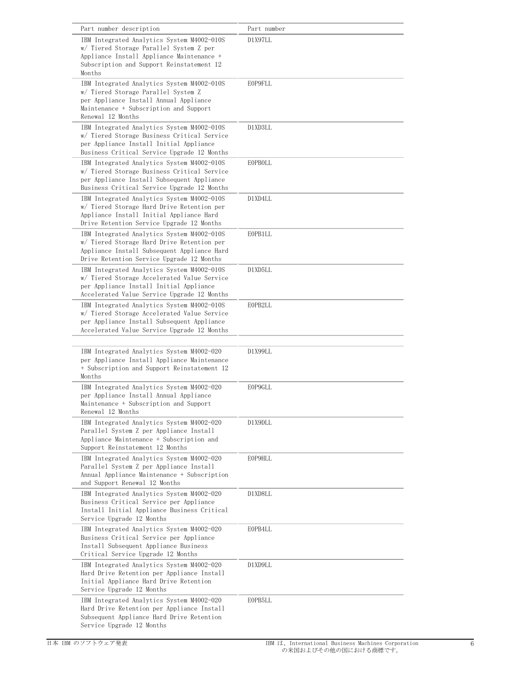| Part number description                                                                                                                                                                    | Part number |
|--------------------------------------------------------------------------------------------------------------------------------------------------------------------------------------------|-------------|
| IBM Integrated Analytics System M4002-010S<br>w/ Tiered Storage Parallel System Z per<br>Appliance Install Appliance Maintenance +<br>Subscription and Support Reinstatement 12<br>Months  | D1X97LL     |
| IBM Integrated Analytics System M4002-010S<br>w/ Tiered Storage Parallel System Z<br>per Appliance Install Annual Appliance<br>Maintenance + Subscription and Support<br>Renewal 12 Months | E0P9FLL     |
| IBM Integrated Analytics System M4002-010S<br>w/ Tiered Storage Business Critical Service<br>per Appliance Install Initial Appliance<br>Business Critical Service Upgrade 12 Months        | D1XD3LL     |
| IBM Integrated Analytics System M4002-010S<br>w/ Tiered Storage Business Critical Service<br>per Appliance Install Subsequent Appliance<br>Business Critical Service Upgrade 12 Months     | EOPBOLL     |
| IBM Integrated Analytics System M4002-010S<br>w/ Tiered Storage Hard Drive Retention per<br>Appliance Install Initial Appliance Hard<br>Drive Retention Service Upgrade 12 Months          | D1XD4LL     |
| IBM Integrated Analytics System M4002-010S<br>w/ Tiered Storage Hard Drive Retention per<br>Appliance Install Subsequent Appliance Hard<br>Drive Retention Service Upgrade 12 Months       | E0PB1LL     |
| IBM Integrated Analytics System M4002-010S<br>w/ Tiered Storage Accelerated Value Service<br>per Appliance Install Initial Appliance<br>Accelerated Value Service Upgrade 12 Months        | D1XD5LL     |
| IBM Integrated Analytics System M4002-010S<br>w/ Tiered Storage Accelerated Value Service<br>per Appliance Install Subsequent Appliance<br>Accelerated Value Service Upgrade 12 Months     | E0PB2LL     |
| IBM Integrated Analytics System M4002-020<br>per Appliance Install Appliance Maintenance<br>+ Subscription and Support Reinstatement 12<br>Months                                          | D1X99LL     |
| IBM Integrated Analytics System M4002-020<br>per Appliance Install Annual Appliance<br>Maintenance + Subscription and Support<br>Renewal 12 Months                                         | E0P9GLL     |
| IBM Integrated Analytics System M4002-020<br>Parallel System Z per Appliance Install<br>Appliance Maintenance + Subscription and<br>Support Reinstatement 12 Months                        | D1X9DLL     |
| IBM Integrated Analytics System M4002-020<br>Parallel System Z per Appliance Install<br>Annual Appliance Maintenance + Subscription<br>and Support Renewal 12 Months                       | E0P9HLL     |
| IBM Integrated Analytics System M4002-020<br>Business Critical Service per Appliance<br>Install Initial Appliance Business Critical<br>Service Upgrade 12 Months                           | D1XD8LL     |
| IBM Integrated Analytics System M4002-020<br>Business Critical Service per Appliance<br>Install Subsequent Appliance Business<br>Critical Service Upgrade 12 Months                        | E0PB4LL     |
| IBM Integrated Analytics System M4002-020<br>Hard Drive Retention per Appliance Install<br>Initial Appliance Hard Drive Retention<br>Service Upgrade 12 Months                             | D1XD9LL     |
| IBM Integrated Analytics System M4002-020<br>Hard Drive Retention per Appliance Install<br>Subsequent Appliance Hard Drive Retention<br>Service Upgrade 12 Months                          | E0PB5LL     |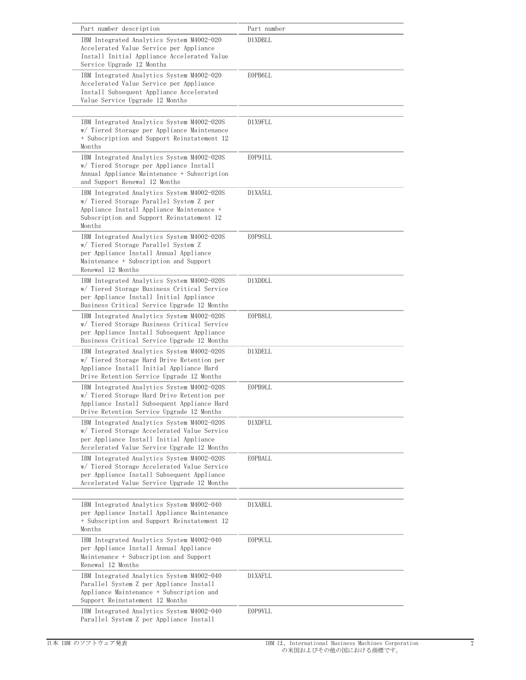| Part number description                                                                                                                                                                    | Part number |
|--------------------------------------------------------------------------------------------------------------------------------------------------------------------------------------------|-------------|
| IBM Integrated Analytics System M4002-020<br>Accelerated Value Service per Appliance<br>Install Initial Appliance Accelerated Value<br>Service Upgrade 12 Months                           | D1XDBLL     |
| IBM Integrated Analytics System M4002-020<br>Accelerated Value Service per Appliance<br>Install Subsequent Appliance Accelerated<br>Value Service Upgrade 12 Months                        | E0PB6LL     |
| IBM Integrated Analytics System M4002-020S<br>w/ Tiered Storage per Appliance Maintenance<br>+ Subscription and Support Reinstatement 12<br>Months                                         | D1X9FLL     |
| IBM Integrated Analytics System M4002-020S<br>w/ Tiered Storage per Appliance Install<br>Annual Appliance Maintenance + Subscription<br>and Support Renewal 12 Months                      | E0P9ILL     |
| IBM Integrated Analytics System M4002-020S<br>w/ Tiered Storage Parallel System Z per<br>Appliance Install Appliance Maintenance +<br>Subscription and Support Reinstatement 12<br>Months  | D1XA5LL     |
| IBM Integrated Analytics System M4002-020S<br>w/ Tiered Storage Parallel System Z<br>per Appliance Install Annual Appliance<br>Maintenance + Subscription and Support<br>Renewal 12 Months | E0P9SLL     |
| IBM Integrated Analytics System M4002-020S<br>w/ Tiered Storage Business Critical Service<br>per Appliance Install Initial Appliance<br>Business Critical Service Upgrade 12 Months        | D1XDDLL     |
| IBM Integrated Analytics System M4002-020S<br>w/ Tiered Storage Business Critical Service<br>per Appliance Install Subsequent Appliance<br>Business Critical Service Upgrade 12 Months     | E0PB8LL     |
| IBM Integrated Analytics System M4002-020S<br>w/ Tiered Storage Hard Drive Retention per<br>Appliance Install Initial Appliance Hard<br>Drive Retention Service Upgrade 12 Months          | D1XDELL     |
| IBM Integrated Analytics System M4002-020S<br>w/ Tiered Storage Hard Drive Retention per<br>Appliance Install Subsequent Appliance Hard<br>Drive Retention Service Upgrade 12 Months       | E0PB9LL     |
| IBM Integrated Analytics System M4002-020S<br>w/ Tiered Storage Accelerated Value Service<br>per Appliance Install Initial Appliance<br>Accelerated Value Service Upgrade 12 Months        | D1XDFLL     |
| IBM Integrated Analytics System M4002-020S<br>w/ Tiered Storage Accelerated Value Service<br>per Appliance Install Subsequent Appliance<br>Accelerated Value Service Upgrade 12 Months     | EOPBALL     |
| IBM Integrated Analytics System M4002-040<br>per Appliance Install Appliance Maintenance<br>+ Subscription and Support Reinstatement 12<br>Months                                          | D1XABLL     |
| IBM Integrated Analytics System M4002-040<br>per Appliance Install Annual Appliance<br>Maintenance + Subscription and Support<br>Renewal 12 Months                                         | E0P9ULL     |
| IBM Integrated Analytics System M4002-040<br>Parallel System Z per Appliance Install<br>Appliance Maintenance + Subscription and<br>Support Reinstatement 12 Months                        | D1XAFLL     |
| IBM Integrated Analytics System M4002-040<br>Parallel System Z per Appliance Install                                                                                                       | E0P9VLL     |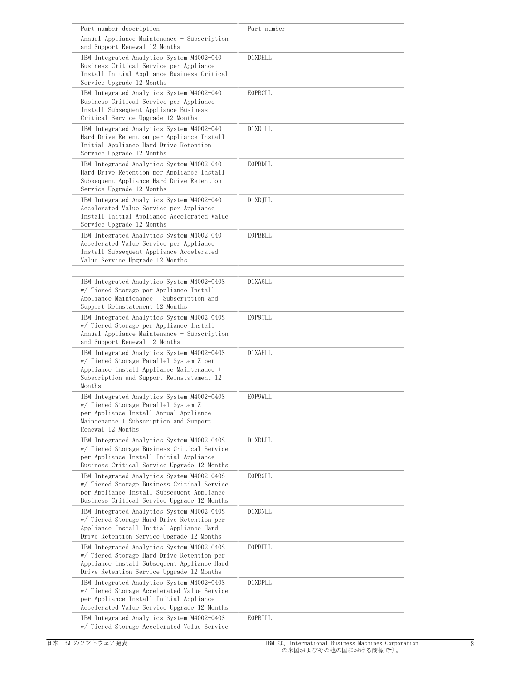| Part number description                                                                                                                                                                    | Part number    |
|--------------------------------------------------------------------------------------------------------------------------------------------------------------------------------------------|----------------|
| Annual Appliance Maintenance + Subscription<br>and Support Renewal 12 Months                                                                                                               |                |
| IBM Integrated Analytics System M4002-040<br>Business Critical Service per Appliance<br>Install Initial Appliance Business Critical<br>Service Upgrade 12 Months                           | D1XDHLL        |
| IBM Integrated Analytics System M4002-040<br>Business Critical Service per Appliance<br>Install Subsequent Appliance Business<br>Critical Service Upgrade 12 Months                        | EOPBCLL        |
| IBM Integrated Analytics System M4002-040<br>Hard Drive Retention per Appliance Install<br>Initial Appliance Hard Drive Retention<br>Service Upgrade 12 Months                             | D1XDILL        |
| IBM Integrated Analytics System M4002-040<br>Hard Drive Retention per Appliance Install<br>Subsequent Appliance Hard Drive Retention<br>Service Upgrade 12 Months                          | EOPBDLL        |
| IBM Integrated Analytics System M4002-040<br>Accelerated Value Service per Appliance<br>Install Initial Appliance Accelerated Value<br>Service Upgrade 12 Months                           | D1XDJLL        |
| IBM Integrated Analytics System M4002-040<br>Accelerated Value Service per Appliance<br>Install Subsequent Appliance Accelerated<br>Value Service Upgrade 12 Months                        | EOPBELL        |
| IBM Integrated Analytics System M4002-040S<br>w/ Tiered Storage per Appliance Install<br>Appliance Maintenance + Subscription and<br>Support Reinstatement 12 Months                       | D1XA6LL        |
| IBM Integrated Analytics System M4002-040S<br>w/ Tiered Storage per Appliance Install<br>Annual Appliance Maintenance + Subscription<br>and Support Renewal 12 Months                      | <b>EOP9TLL</b> |
| IBM Integrated Analytics System M4002-040S<br>w/ Tiered Storage Parallel System Z per<br>Appliance Install Appliance Maintenance +<br>Subscription and Support Reinstatement 12<br>Months  | D1XAHLL        |
| IBM Integrated Analytics System M4002-040S<br>w/ Tiered Storage Parallel System Z<br>per Appliance Install Annual Appliance<br>Maintenance + Subscription and Support<br>Renewal 12 Months | <b>EOP9WLL</b> |
| IBM Integrated Analytics System M4002-040S<br>w/ Tiered Storage Business Critical Service<br>per Appliance Install Initial Appliance<br>Business Critical Service Upgrade 12 Months        | D1XDLLL        |
| IBM Integrated Analytics System M4002-040S<br>w/ Tiered Storage Business Critical Service<br>per Appliance Install Subsequent Appliance<br>Business Critical Service Upgrade 12 Months     | EOPBGLL        |
| IBM Integrated Analytics System M4002-040S<br>w/ Tiered Storage Hard Drive Retention per<br>Appliance Install Initial Appliance Hard<br>Drive Retention Service Upgrade 12 Months          | D1XDNLL        |
| IBM Integrated Analytics System M4002-040S<br>w/ Tiered Storage Hard Drive Retention per<br>Appliance Install Subsequent Appliance Hard<br>Drive Retention Service Upgrade 12 Months       | EOPBHLL        |
| IBM Integrated Analytics System M4002-040S<br>w/ Tiered Storage Accelerated Value Service<br>per Appliance Install Initial Appliance<br>Accelerated Value Service Upgrade 12 Months        | D1XDPLL        |
| IBM Integrated Analytics System M4002-040S<br>w/ Tiered Storage Accelerated Value Service                                                                                                  | EOPBILL        |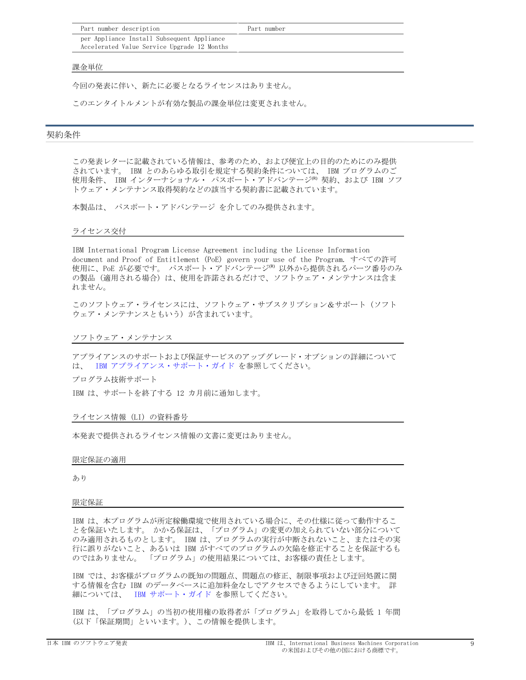| Part number description                                                                   | Part number |
|-------------------------------------------------------------------------------------------|-------------|
| per Appliance Install Subsequent Appliance<br>Accelerated Value Service Upgrade 12 Months |             |

#### 課金単位

今回の発表に伴い、新たに必要となるライセンスはありません。

このエンタイトルメントが有効な製品の課金単位は変更されません。

### <span id="page-8-0"></span>契約条件

この発表レターに記載されている情報は、参考のため、および便宜上の目的のためにのみ提供 されています。 IBM とのあらゆる取引を規定する契約条件については、 IBM プログラムのご 使用条件、 IBM インターナショナル・ パスポート・アドバンテージ<sup>(R)</sup> 契約、および IBM ソフ トウェア・メンテナンス取得契約などの該当する契約書に記載されています。

本製品は、 パスポート・アドバンテージ を介してのみ提供されます。

## ライセンス交付

IBM International Program License Agreement including the License Information document and Proof of Entitlement (PoE) govern your use of the Program. すべての許可 使用に、PoE が必要です。 パスポート・アドバンテージ® 以外から提供されるパーツ番号のみ の製品(適用される場合)は、使用を許諾されるだけで、ソフトウェア・メンテナンスは含ま れません。

このソフトウェア・ライセンスには、ソフトウェア・サブスクリプション&サポート(ソフト ウェア・メンテナンスともいう)が含まれています。

ソフトウェア・メンテナンス

アプライアンスのサポートおよび保証サービスのアップグレード・オプションの詳細について は、 IBM [アプライアンス・サポート・ガイド](http://www.ibm.com/software/appliance/support) を参照してください。

プログラム技術サポート

IBM は、サポートを終了する 12 カ月前に通知します。

### ライセンス情報 (LI) の資料番号

本発表で提供されるライセンス情報の文書に変更はありません。

#### 限定保証の適用

あり

#### 限定保証

IBM-は、本プログラムが所定稼働環境で使用されている場合に、その仕様に従って動作するこ とを保証いたします。かかる保証は、「プログラム」の変更の加えられていない部分について のみ適用されるものとします。 IBM は、プログラムの実行が中断されないこと、またはその実 行に誤りがないこと、あるいは IBM がすべてのプログラムの欠陥を修正することを保証するも のではありません。 「プログラム」の使用結果については、お客様の責任とします。

IBM-では、お客様がプログラムの既知の問題点、問題点の修正、制限事項および迂回処置に関 する情報を含む IBM のデータベースに追加料金なしでアクセスできるようにしています。 詳 細については、 - IBM [サポート・ガイド](http://www.ibm.com/support/customercare/sas/f/handbook/home.html) を参照してください。

IBM は、「プログラム」の当初の使用権の取得者が「プログラム」を取得してから最低 1 年間 (以下「保証期間」といいます。)、この情報を提供します。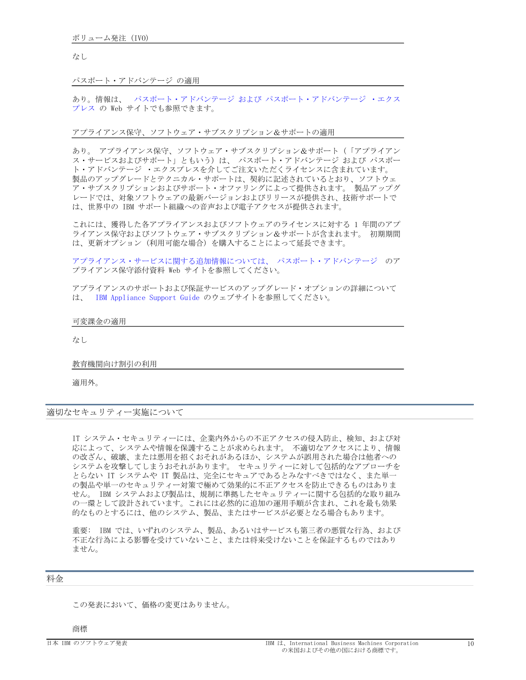### なし

### パスポート・アドバンテージ の適用

あり。情報は、-パスポート・アドバンテージ および パスポート・アドバンテージ ・エクス [プレス](http://www.ibm.com/software/passportadvantage) の Web サイトでも参照できます。

アプライアンス保守、ソフトウェア・サブスクリプション&サポートの適用

あり。 アプライアンス保守、ソフトウェア・サブスクリプション&サポート(「アプライアン ス・サービスおよびサポート」ともいう)は、 パスポート・アドバンテージ および パスポー ト・アドバンテージ ・エクスプレスを介してご注文いただくライセンスに含まれています。 製品のアップグレードとテクニカル・サポートは、契約に記述されているとおり、ソフトウェ ア・サブスクリプションおよびサポート・オファリングによって提供されます。 製品アップグ レードでは、対象ソフトウェアの最新バージョンおよびリリースが提供され、技術サポートで は、世界中の IBM サポート組織への音声および電子アクセスが提供されます。

これには、獲得した各アプライアンスおよびソフトウェアのライセンスに対する 1 年間のアプ ライアンス保守およびソフトウェア・サブスクリプション&サポートが含まれます。 初期期間 は、更新オプション(利用可能な場合)を購入することによって延長できます。

アプライアンス・サービスに関する追加情報については、 パスポート・アドバンテージ のア プライアンス保守添付資料 Web サイトを参照してください。

アプライアンスのサポートおよび保証サービスのアップグレード・オプションの詳細について は、 IBM Appliance Support Guide のウェブサイトを参照してください。

#### 可変課金の適用

なし

## 教育機関向け割引の利用

適用外。

適切なセキュリティー実施について

IT-システム・セキュリティーには、企業内外からの不正アクセスの侵入防止、検知、および対 応によって、システムや情報を保護することが求められます。 不適切なアクセスにより、情報 の改ざん、破壊、または悪用を招くおそれがあるほか、システムが誤用された場合は他者への システムを攻撃してしまうおそれがあります。 セキュリティーに対して包括的なアプローチを とらない IT システムや IT 製品は、完全にセキュアであるとみなすべきではなく、また単一 の製品や単一のセキュリティー対策で極めて効果的に不正アクセスを防止できるものはありま せん。-IBM-システムおよび製品は、規制に準拠したセキュリティーに関する包括的な取り組み の一環として設計されています。これには必然的に追加の運用手順が含まれ、これを最も効果 的なものとするには、他のシステム、製品、またはサービスが必要となる場合もあります。

重要: IBM では、いずれのシステム、製品、あるいはサービスも第三者の悪質な行為、および 不正な行為による影響を受けていないこと、または将来受けないことを保証するものではあり ません。

### <span id="page-9-0"></span>料金

この発表において、価格の変更はありません。

商標